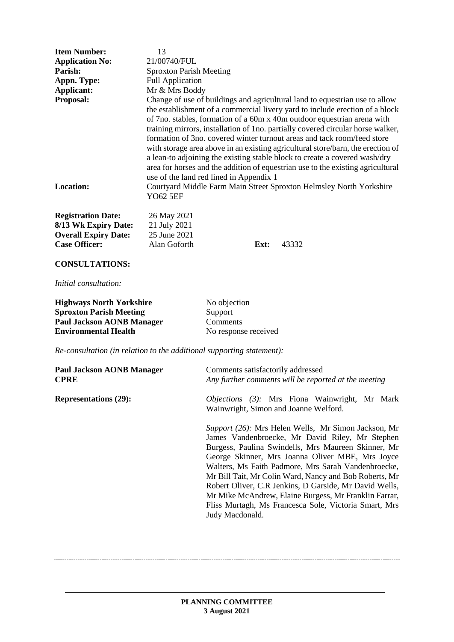| <b>Item Number:</b>                                                                                      | 13                                                                                                                                                                                                                                                                                                                                                                                                                                                                                                                                                                                                                                                                                                  |  |  |
|----------------------------------------------------------------------------------------------------------|-----------------------------------------------------------------------------------------------------------------------------------------------------------------------------------------------------------------------------------------------------------------------------------------------------------------------------------------------------------------------------------------------------------------------------------------------------------------------------------------------------------------------------------------------------------------------------------------------------------------------------------------------------------------------------------------------------|--|--|
| <b>Application No:</b>                                                                                   | 21/00740/FUL                                                                                                                                                                                                                                                                                                                                                                                                                                                                                                                                                                                                                                                                                        |  |  |
| Parish:                                                                                                  | <b>Sproxton Parish Meeting</b>                                                                                                                                                                                                                                                                                                                                                                                                                                                                                                                                                                                                                                                                      |  |  |
| Appn. Type:                                                                                              | <b>Full Application</b>                                                                                                                                                                                                                                                                                                                                                                                                                                                                                                                                                                                                                                                                             |  |  |
| Applicant:                                                                                               | Mr & Mrs Boddy                                                                                                                                                                                                                                                                                                                                                                                                                                                                                                                                                                                                                                                                                      |  |  |
| Proposal:                                                                                                | Change of use of buildings and agricultural land to equestrian use to allow<br>the establishment of a commercial livery yard to include erection of a block<br>of 7no. stables, formation of a 60m x 40m outdoor equestrian arena with<br>training mirrors, installation of 1no. partially covered circular horse walker,<br>formation of 3no. covered winter turnout areas and tack room/feed store<br>with storage area above in an existing agricultural store/barn, the erection of<br>a lean-to adjoining the existing stable block to create a covered wash/dry<br>area for horses and the addition of equestrian use to the existing agricultural<br>use of the land red lined in Appendix 1 |  |  |
| <b>Location:</b>                                                                                         | Courtyard Middle Farm Main Street Sproxton Helmsley North Yorkshire<br><b>YO62 5EF</b>                                                                                                                                                                                                                                                                                                                                                                                                                                                                                                                                                                                                              |  |  |
| <b>Registration Date:</b><br>8/13 Wk Expiry Date:<br><b>Overall Expiry Date:</b><br><b>Case Officer:</b> | 26 May 2021<br>21 July 2021<br>25 June 2021<br>Alan Goforth<br>43332<br>Ext:                                                                                                                                                                                                                                                                                                                                                                                                                                                                                                                                                                                                                        |  |  |
| <b>CONSULTATIONS:</b>                                                                                    |                                                                                                                                                                                                                                                                                                                                                                                                                                                                                                                                                                                                                                                                                                     |  |  |

*Initial consultation:* 

| <b>Highways North Yorkshire</b>  | No objection         |
|----------------------------------|----------------------|
| <b>Sproxton Parish Meeting</b>   | Support              |
| <b>Paul Jackson AONB Manager</b> | Comments             |
| <b>Environmental Health</b>      | No response received |

*Re-consultation (in relation to the additional supporting statement):*

| <b>Paul Jackson AONB Manager</b><br><b>CPRE</b> | Comments satisfactorily addressed<br>Any further comments will be reported at the meeting                                                                                                                                                                                                                                                                                                                                                                                                                                           |
|-------------------------------------------------|-------------------------------------------------------------------------------------------------------------------------------------------------------------------------------------------------------------------------------------------------------------------------------------------------------------------------------------------------------------------------------------------------------------------------------------------------------------------------------------------------------------------------------------|
| <b>Representations (29):</b>                    | <i>Objections (3):</i> Mrs Fiona Wainwright, Mr Mark<br>Wainwright, Simon and Joanne Welford.                                                                                                                                                                                                                                                                                                                                                                                                                                       |
|                                                 | Support (26): Mrs Helen Wells, Mr Simon Jackson, Mr<br>James Vandenbroecke, Mr David Riley, Mr Stephen<br>Burgess, Paulina Swindells, Mrs Maureen Skinner, Mr<br>George Skinner, Mrs Joanna Oliver MBE, Mrs Joyce<br>Walters, Ms Faith Padmore, Mrs Sarah Vandenbroecke,<br>Mr Bill Tait, Mr Colin Ward, Nancy and Bob Roberts, Mr<br>Robert Oliver, C.R. Jenkins, D. Garside, Mr David Wells,<br>Mr Mike McAndrew, Elaine Burgess, Mr Franklin Farrar,<br>Fliss Murtagh, Ms Francesca Sole, Victoria Smart, Mrs<br>Judy Macdonald. |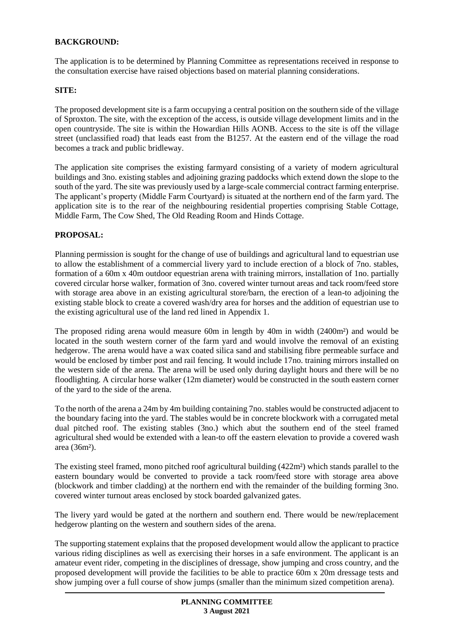# **BACKGROUND:**

The application is to be determined by Planning Committee as representations received in response to the consultation exercise have raised objections based on material planning considerations.

#### **SITE:**

The proposed development site is a farm occupying a central position on the southern side of the village of Sproxton. The site, with the exception of the access, is outside village development limits and in the open countryside. The site is within the Howardian Hills AONB. Access to the site is off the village street (unclassified road) that leads east from the B1257. At the eastern end of the village the road becomes a track and public bridleway.

The application site comprises the existing farmyard consisting of a variety of modern agricultural buildings and 3no. existing stables and adjoining grazing paddocks which extend down the slope to the south of the yard. The site was previously used by a large-scale commercial contract farming enterprise. The applicant's property (Middle Farm Courtyard) is situated at the northern end of the farm yard. The application site is to the rear of the neighbouring residential properties comprising Stable Cottage, Middle Farm, The Cow Shed, The Old Reading Room and Hinds Cottage.

## **PROPOSAL:**

Planning permission is sought for the change of use of buildings and agricultural land to equestrian use to allow the establishment of a commercial livery yard to include erection of a block of 7no. stables, formation of a 60m x 40m outdoor equestrian arena with training mirrors, installation of 1no. partially covered circular horse walker, formation of 3no. covered winter turnout areas and tack room/feed store with storage area above in an existing agricultural store/barn, the erection of a lean-to adjoining the existing stable block to create a covered wash/dry area for horses and the addition of equestrian use to the existing agricultural use of the land red lined in Appendix 1.

The proposed riding arena would measure 60m in length by 40m in width (2400m²) and would be located in the south western corner of the farm yard and would involve the removal of an existing hedgerow. The arena would have a wax coated silica sand and stabilising fibre permeable surface and would be enclosed by timber post and rail fencing. It would include 17no. training mirrors installed on the western side of the arena. The arena will be used only during daylight hours and there will be no floodlighting. A circular horse walker (12m diameter) would be constructed in the south eastern corner of the yard to the side of the arena.

To the north of the arena a 24m by 4m building containing 7no. stables would be constructed adjacent to the boundary facing into the yard. The stables would be in concrete blockwork with a corrugated metal dual pitched roof. The existing stables (3no.) which abut the southern end of the steel framed agricultural shed would be extended with a lean-to off the eastern elevation to provide a covered wash area (36m²).

The existing steel framed, mono pitched roof agricultural building (422m²) which stands parallel to the eastern boundary would be converted to provide a tack room/feed store with storage area above (blockwork and timber cladding) at the northern end with the remainder of the building forming 3no. covered winter turnout areas enclosed by stock boarded galvanized gates.

The livery yard would be gated at the northern and southern end. There would be new/replacement hedgerow planting on the western and southern sides of the arena.

The supporting statement explains that the proposed development would allow the applicant to practice various riding disciplines as well as exercising their horses in a safe environment. The applicant is an amateur event rider, competing in the disciplines of dressage, show jumping and cross country, and the proposed development will provide the facilities to be able to practice 60m x 20m dressage tests and show jumping over a full course of show jumps (smaller than the minimum sized competition arena).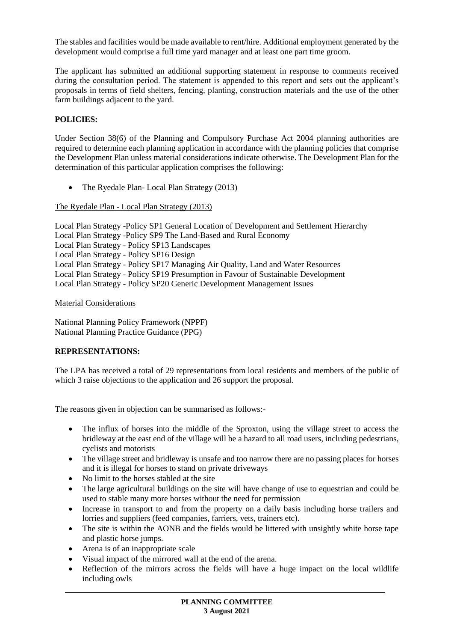The stables and facilities would be made available to rent/hire. Additional employment generated by the development would comprise a full time yard manager and at least one part time groom.

The applicant has submitted an additional supporting statement in response to comments received during the consultation period. The statement is appended to this report and sets out the applicant's proposals in terms of field shelters, fencing, planting, construction materials and the use of the other farm buildings adjacent to the yard.

# **POLICIES:**

Under Section 38(6) of the Planning and Compulsory Purchase Act 2004 planning authorities are required to determine each planning application in accordance with the planning policies that comprise the Development Plan unless material considerations indicate otherwise. The Development Plan for the determination of this particular application comprises the following:

The Ryedale Plan- Local Plan Strategy (2013)

The Ryedale Plan - Local Plan Strategy (2013)

Local Plan Strategy -Policy SP1 General Location of Development and Settlement Hierarchy Local Plan Strategy -Policy SP9 The Land-Based and Rural Economy Local Plan Strategy - Policy SP13 Landscapes Local Plan Strategy - Policy SP16 Design Local Plan Strategy - Policy SP17 Managing Air Quality, Land and Water Resources Local Plan Strategy - Policy SP19 Presumption in Favour of Sustainable Development Local Plan Strategy - Policy SP20 Generic Development Management Issues

Material Considerations

National Planning Policy Framework (NPPF) National Planning Practice Guidance (PPG)

## **REPRESENTATIONS:**

The LPA has received a total of 29 representations from local residents and members of the public of which 3 raise objections to the application and 26 support the proposal.

The reasons given in objection can be summarised as follows:-

- The influx of horses into the middle of the Sproxton, using the village street to access the bridleway at the east end of the village will be a hazard to all road users, including pedestrians, cyclists and motorists
- The village street and bridleway is unsafe and too narrow there are no passing places for horses and it is illegal for horses to stand on private driveways
- No limit to the horses stabled at the site
- The large agricultural buildings on the site will have change of use to equestrian and could be used to stable many more horses without the need for permission
- Increase in transport to and from the property on a daily basis including horse trailers and lorries and suppliers (feed companies, farriers, vets, trainers etc).
- The site is within the AONB and the fields would be littered with unsightly white horse tape and plastic horse jumps.
- Arena is of an inappropriate scale
- Visual impact of the mirrored wall at the end of the arena.
- Reflection of the mirrors across the fields will have a huge impact on the local wildlife including owls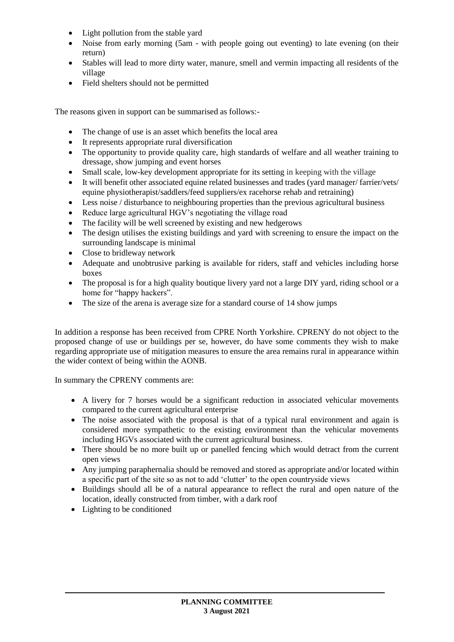- Light pollution from the stable yard
- Noise from early morning (5am with people going out eventing) to late evening (on their return)
- Stables will lead to more dirty water, manure, smell and vermin impacting all residents of the village
- Field shelters should not be permitted

The reasons given in support can be summarised as follows:-

- The change of use is an asset which benefits the local area
- It represents appropriate rural diversification
- The opportunity to provide quality care, high standards of welfare and all weather training to dressage, show jumping and event horses
- Small scale, low-key development appropriate for its setting in keeping with the village
- It will benefit other associated equine related businesses and trades (yard manager/ farrier/vets/ equine physiotherapist/saddlers/feed suppliers/ex racehorse rehab and retraining)
- Less noise / disturbance to neighbouring properties than the previous agricultural business
- Reduce large agricultural HGV's negotiating the village road
- The facility will be well screened by existing and new hedgerows
- The design utilises the existing buildings and yard with screening to ensure the impact on the surrounding landscape is minimal
- Close to bridleway network
- Adequate and unobtrusive parking is available for riders, staff and vehicles including horse boxes
- The proposal is for a high quality boutique livery yard not a large DIY yard, riding school or a home for "happy hackers".
- The size of the arena is average size for a standard course of 14 show jumps

In addition a response has been received from CPRE North Yorkshire. CPRENY do not object to the proposed change of use or buildings per se, however, do have some comments they wish to make regarding appropriate use of mitigation measures to ensure the area remains rural in appearance within the wider context of being within the AONB.

In summary the CPRENY comments are:

- A livery for 7 horses would be a significant reduction in associated vehicular movements compared to the current agricultural enterprise
- The noise associated with the proposal is that of a typical rural environment and again is considered more sympathetic to the existing environment than the vehicular movements including HGVs associated with the current agricultural business.
- There should be no more built up or panelled fencing which would detract from the current open views
- Any jumping paraphernalia should be removed and stored as appropriate and/or located within a specific part of the site so as not to add 'clutter' to the open countryside views
- Buildings should all be of a natural appearance to reflect the rural and open nature of the location, ideally constructed from timber, with a dark roof
- Lighting to be conditioned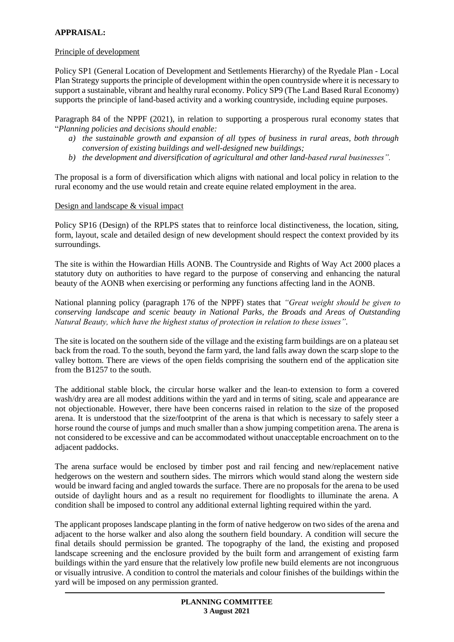# **APPRAISAL:**

### Principle of development

Policy SP1 (General Location of Development and Settlements Hierarchy) of the Ryedale Plan - Local Plan Strategy supports the principle of development within the open countryside where it is necessary to support a sustainable, vibrant and healthy rural economy. Policy SP9 (The Land Based Rural Economy) supports the principle of land-based activity and a working countryside, including equine purposes.

Paragraph 84 of the NPPF (2021), in relation to supporting a prosperous rural economy states that "*Planning policies and decisions should enable:* 

- *a) the sustainable growth and expansion of all types of business in rural areas, both through conversion of existing buildings and well-designed new buildings;*
- *b) the development and diversification of agricultural and other land-based rural businesses".*

The proposal is a form of diversification which aligns with national and local policy in relation to the rural economy and the use would retain and create equine related employment in the area.

#### Design and landscape & visual impact

Policy SP16 (Design) of the RPLPS states that to reinforce local distinctiveness, the location, siting, form, layout, scale and detailed design of new development should respect the context provided by its surroundings.

The site is within the Howardian Hills AONB. The Countryside and Rights of Way Act 2000 places a statutory duty on authorities to have regard to the purpose of conserving and enhancing the natural beauty of the AONB when exercising or performing any functions affecting land in the AONB.

National planning policy (paragraph 176 of the NPPF) states that *"Great weight should be given to conserving landscape and scenic beauty in National Parks, the Broads and Areas of Outstanding Natural Beauty, which have the highest status of protection in relation to these issues".*

The site is located on the southern side of the village and the existing farm buildings are on a plateau set back from the road. To the south, beyond the farm yard, the land falls away down the scarp slope to the valley bottom. There are views of the open fields comprising the southern end of the application site from the B1257 to the south.

The additional stable block, the circular horse walker and the lean-to extension to form a covered wash/dry area are all modest additions within the yard and in terms of siting, scale and appearance are not objectionable. However, there have been concerns raised in relation to the size of the proposed arena. It is understood that the size/footprint of the arena is that which is necessary to safely steer a horse round the course of jumps and much smaller than a show jumping competition arena. The arena is not considered to be excessive and can be accommodated without unacceptable encroachment on to the adjacent paddocks.

The arena surface would be enclosed by timber post and rail fencing and new/replacement native hedgerows on the western and southern sides. The mirrors which would stand along the western side would be inward facing and angled towards the surface. There are no proposals for the arena to be used outside of daylight hours and as a result no requirement for floodlights to illuminate the arena. A condition shall be imposed to control any additional external lighting required within the yard.

The applicant proposes landscape planting in the form of native hedgerow on two sides of the arena and adjacent to the horse walker and also along the southern field boundary. A condition will secure the final details should permission be granted. The topography of the land, the existing and proposed landscape screening and the enclosure provided by the built form and arrangement of existing farm buildings within the yard ensure that the relatively low profile new build elements are not incongruous or visually intrusive. A condition to control the materials and colour finishes of the buildings within the yard will be imposed on any permission granted.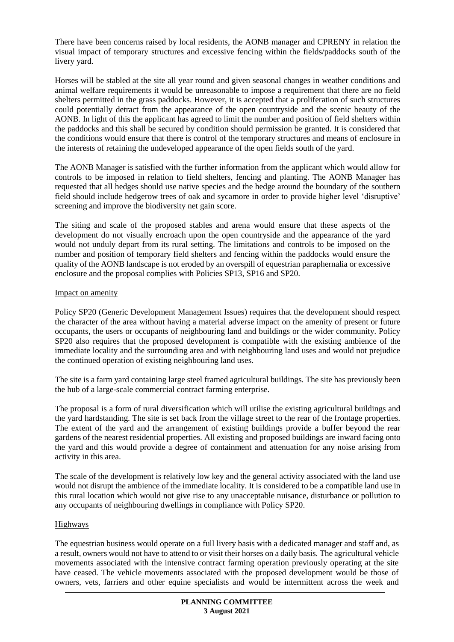There have been concerns raised by local residents, the AONB manager and CPRENY in relation the visual impact of temporary structures and excessive fencing within the fields/paddocks south of the livery yard.

Horses will be stabled at the site all year round and given seasonal changes in weather conditions and animal welfare requirements it would be unreasonable to impose a requirement that there are no field shelters permitted in the grass paddocks. However, it is accepted that a proliferation of such structures could potentially detract from the appearance of the open countryside and the scenic beauty of the AONB. In light of this the applicant has agreed to limit the number and position of field shelters within the paddocks and this shall be secured by condition should permission be granted. It is considered that the conditions would ensure that there is control of the temporary structures and means of enclosure in the interests of retaining the undeveloped appearance of the open fields south of the yard.

The AONB Manager is satisfied with the further information from the applicant which would allow for controls to be imposed in relation to field shelters, fencing and planting. The AONB Manager has requested that all hedges should use native species and the hedge around the boundary of the southern field should include hedgerow trees of oak and sycamore in order to provide higher level 'disruptive' screening and improve the biodiversity net gain score.

The siting and scale of the proposed stables and arena would ensure that these aspects of the development do not visually encroach upon the open countryside and the appearance of the yard would not unduly depart from its rural setting. The limitations and controls to be imposed on the number and position of temporary field shelters and fencing within the paddocks would ensure the quality of the AONB landscape is not eroded by an overspill of equestrian paraphernalia or excessive enclosure and the proposal complies with Policies SP13, SP16 and SP20.

### Impact on amenity

Policy SP20 (Generic Development Management Issues) requires that the development should respect the character of the area without having a material adverse impact on the amenity of present or future occupants, the users or occupants of neighbouring land and buildings or the wider community. Policy SP20 also requires that the proposed development is compatible with the existing ambience of the immediate locality and the surrounding area and with neighbouring land uses and would not prejudice the continued operation of existing neighbouring land uses.

The site is a farm yard containing large steel framed agricultural buildings. The site has previously been the hub of a large-scale commercial contract farming enterprise.

The proposal is a form of rural diversification which will utilise the existing agricultural buildings and the yard hardstanding. The site is set back from the village street to the rear of the frontage properties. The extent of the yard and the arrangement of existing buildings provide a buffer beyond the rear gardens of the nearest residential properties. All existing and proposed buildings are inward facing onto the yard and this would provide a degree of containment and attenuation for any noise arising from activity in this area.

The scale of the development is relatively low key and the general activity associated with the land use would not disrupt the ambience of the immediate locality. It is considered to be a compatible land use in this rural location which would not give rise to any unacceptable nuisance, disturbance or pollution to any occupants of neighbouring dwellings in compliance with Policy SP20.

## Highways

The equestrian business would operate on a full livery basis with a dedicated manager and staff and, as a result, owners would not have to attend to or visit their horses on a daily basis. The agricultural vehicle movements associated with the intensive contract farming operation previously operating at the site have ceased. The vehicle movements associated with the proposed development would be those of owners, vets, farriers and other equine specialists and would be intermittent across the week and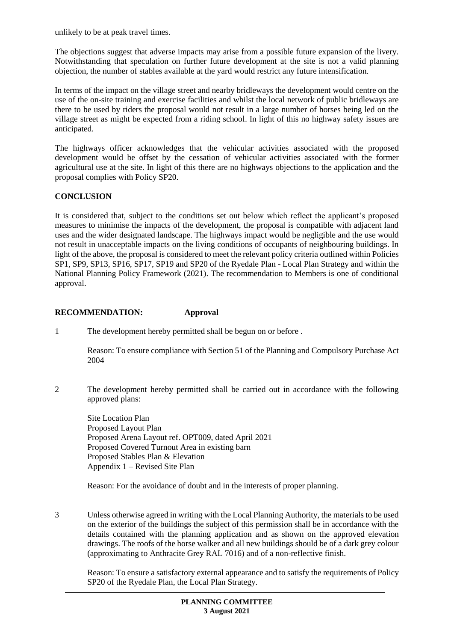unlikely to be at peak travel times.

The objections suggest that adverse impacts may arise from a possible future expansion of the livery. Notwithstanding that speculation on further future development at the site is not a valid planning objection, the number of stables available at the yard would restrict any future intensification.

In terms of the impact on the village street and nearby bridleways the development would centre on the use of the on-site training and exercise facilities and whilst the local network of public bridleways are there to be used by riders the proposal would not result in a large number of horses being led on the village street as might be expected from a riding school. In light of this no highway safety issues are anticipated.

The highways officer acknowledges that the vehicular activities associated with the proposed development would be offset by the cessation of vehicular activities associated with the former agricultural use at the site. In light of this there are no highways objections to the application and the proposal complies with Policy SP20.

# **CONCLUSION**

It is considered that, subject to the conditions set out below which reflect the applicant's proposed measures to minimise the impacts of the development, the proposal is compatible with adjacent land uses and the wider designated landscape. The highways impact would be negligible and the use would not result in unacceptable impacts on the living conditions of occupants of neighbouring buildings. In light of the above, the proposal is considered to meet the relevant policy criteria outlined within Policies SP1, SP9, SP13, SP16, SP17, SP19 and SP20 of the Ryedale Plan - Local Plan Strategy and within the National Planning Policy Framework (2021). The recommendation to Members is one of conditional approval.

# **RECOMMENDATION: Approval**

1 The development hereby permitted shall be begun on or before .

Reason: To ensure compliance with Section 51 of the Planning and Compulsory Purchase Act 2004

2 The development hereby permitted shall be carried out in accordance with the following approved plans:

Site Location Plan Proposed Layout Plan Proposed Arena Layout ref. OPT009, dated April 2021 Proposed Covered Turnout Area in existing barn Proposed Stables Plan & Elevation Appendix 1 – Revised Site Plan

Reason: For the avoidance of doubt and in the interests of proper planning.

3 Unless otherwise agreed in writing with the Local Planning Authority, the materials to be used on the exterior of the buildings the subject of this permission shall be in accordance with the details contained with the planning application and as shown on the approved elevation drawings. The roofs of the horse walker and all new buildings should be of a dark grey colour (approximating to Anthracite Grey RAL 7016) and of a non-reflective finish.

Reason: To ensure a satisfactory external appearance and to satisfy the requirements of Policy SP20 of the Ryedale Plan, the Local Plan Strategy.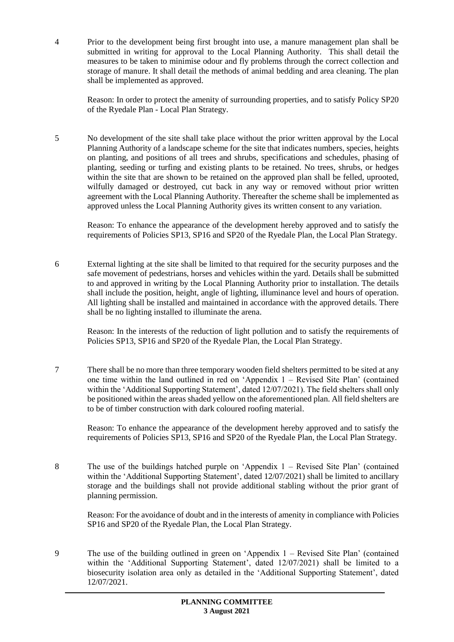4 Prior to the development being first brought into use, a manure management plan shall be submitted in writing for approval to the Local Planning Authority. This shall detail the measures to be taken to minimise odour and fly problems through the correct collection and storage of manure. It shall detail the methods of animal bedding and area cleaning. The plan shall be implemented as approved.

Reason: In order to protect the amenity of surrounding properties, and to satisfy Policy SP20 of the Ryedale Plan - Local Plan Strategy.

5 No development of the site shall take place without the prior written approval by the Local Planning Authority of a landscape scheme for the site that indicates numbers, species, heights on planting, and positions of all trees and shrubs, specifications and schedules, phasing of planting, seeding or turfing and existing plants to be retained. No trees, shrubs, or hedges within the site that are shown to be retained on the approved plan shall be felled, uprooted, wilfully damaged or destroyed, cut back in any way or removed without prior written agreement with the Local Planning Authority. Thereafter the scheme shall be implemented as approved unless the Local Planning Authority gives its written consent to any variation.

Reason: To enhance the appearance of the development hereby approved and to satisfy the requirements of Policies SP13, SP16 and SP20 of the Ryedale Plan, the Local Plan Strategy.

6 External lighting at the site shall be limited to that required for the security purposes and the safe movement of pedestrians, horses and vehicles within the yard. Details shall be submitted to and approved in writing by the Local Planning Authority prior to installation. The details shall include the position, height, angle of lighting, illuminance level and hours of operation. All lighting shall be installed and maintained in accordance with the approved details. There shall be no lighting installed to illuminate the arena.

Reason: In the interests of the reduction of light pollution and to satisfy the requirements of Policies SP13, SP16 and SP20 of the Ryedale Plan, the Local Plan Strategy.

7 There shall be no more than three temporary wooden field shelters permitted to be sited at any one time within the land outlined in red on 'Appendix 1 – Revised Site Plan' (contained within the 'Additional Supporting Statement', dated 12/07/2021). The field shelters shall only be positioned within the areas shaded yellow on the aforementioned plan. All field shelters are to be of timber construction with dark coloured roofing material.

Reason: To enhance the appearance of the development hereby approved and to satisfy the requirements of Policies SP13, SP16 and SP20 of the Ryedale Plan, the Local Plan Strategy.

8 The use of the buildings hatched purple on 'Appendix 1 – Revised Site Plan' (contained within the 'Additional Supporting Statement', dated 12/07/2021) shall be limited to ancillary storage and the buildings shall not provide additional stabling without the prior grant of planning permission.

Reason: For the avoidance of doubt and in the interests of amenity in compliance with Policies SP16 and SP20 of the Ryedale Plan, the Local Plan Strategy.

9 The use of the building outlined in green on 'Appendix 1 – Revised Site Plan' (contained within the 'Additional Supporting Statement', dated 12/07/2021) shall be limited to a biosecurity isolation area only as detailed in the 'Additional Supporting Statement', dated 12/07/2021.